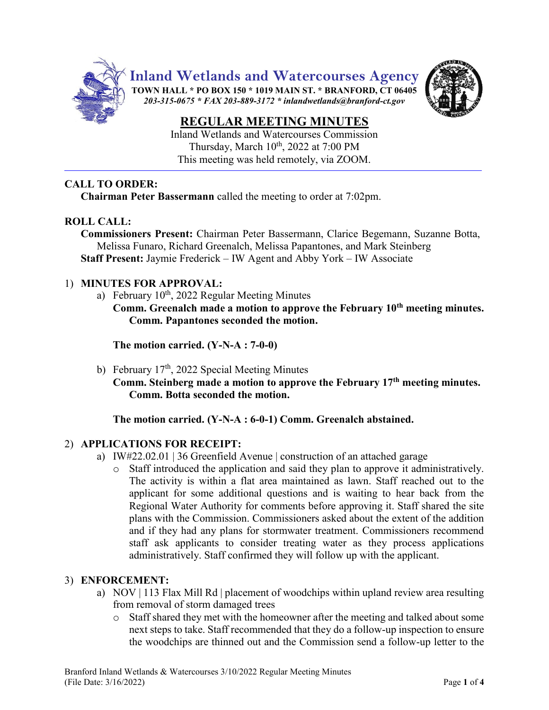

**Inland Wetlands and Watercourses Agency**

**TOWN HALL \* PO BOX 150 \* 1019 MAIN ST. \* BRANFORD, CT 06405** *203-315-0675 \* FAX 203-889-3172 \* inlandwetlands@branford-ct.gov* 



# **REGULAR MEETING MINUTES**

Inland Wetlands and Watercourses Commission Thursday, March 10<sup>th</sup>, 2022 at 7:00 PM This meeting was held remotely, via ZOOM.

### **CALL TO ORDER:**

**Chairman Peter Bassermann** called the meeting to order at 7:02pm.

# **ROLL CALL:**

**Commissioners Present:** Chairman Peter Bassermann, Clarice Begemann, Suzanne Botta, Melissa Funaro, Richard Greenalch, Melissa Papantones, and Mark Steinberg **Staff Present:** Jaymie Frederick – IW Agent and Abby York – IW Associate

### 1) **MINUTES FOR APPROVAL:**

- a) February 10<sup>th</sup>, 2022 Regular Meeting Minutes
	- **Comm. Greenalch made a motion to approve the February 10th meeting minutes. Comm. Papantones seconded the motion.**

**The motion carried. (Y-N-A : 7-0-0)**

- b) February  $17<sup>th</sup>$ , 2022 Special Meeting Minutes
	- **Comm. Steinberg made a motion to approve the February 17th meeting minutes. Comm. Botta seconded the motion.**

# **The motion carried. (Y-N-A : 6-0-1) Comm. Greenalch abstained.**

# 2) **APPLICATIONS FOR RECEIPT:**

- a) IW#22.02.01 | 36 Greenfield Avenue | construction of an attached garage
	- o Staff introduced the application and said they plan to approve it administratively. The activity is within a flat area maintained as lawn. Staff reached out to the applicant for some additional questions and is waiting to hear back from the Regional Water Authority for comments before approving it. Staff shared the site plans with the Commission. Commissioners asked about the extent of the addition and if they had any plans for stormwater treatment. Commissioners recommend staff ask applicants to consider treating water as they process applications administratively. Staff confirmed they will follow up with the applicant.

# 3) **ENFORCEMENT:**

- a) NOV | 113 Flax Mill Rd | placement of woodchips within upland review area resulting from removal of storm damaged trees
	- o Staff shared they met with the homeowner after the meeting and talked about some next steps to take. Staff recommended that they do a follow-up inspection to ensure the woodchips are thinned out and the Commission send a follow-up letter to the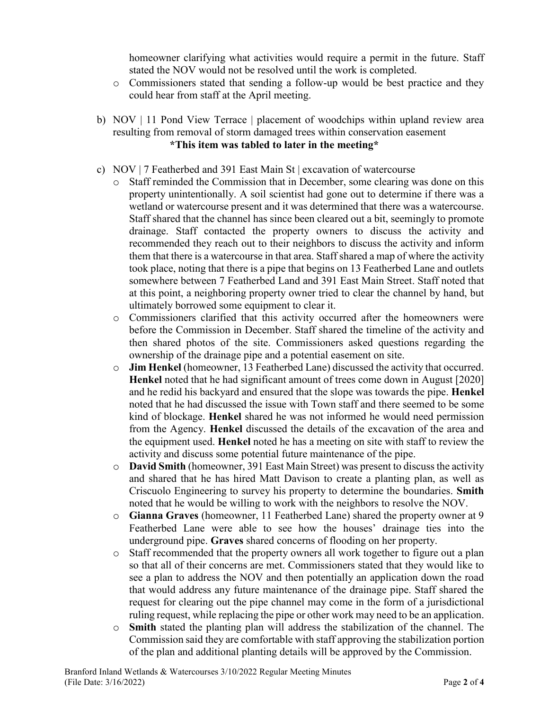homeowner clarifying what activities would require a permit in the future. Staff stated the NOV would not be resolved until the work is completed.

- o Commissioners stated that sending a follow-up would be best practice and they could hear from staff at the April meeting.
- b) NOV | 11 Pond View Terrace | placement of woodchips within upland review area resulting from removal of storm damaged trees within conservation easement **\*This item was tabled to later in the meeting\***
- c) NOV | 7 Featherbed and 391 East Main St | excavation of watercourse
	- o Staff reminded the Commission that in December, some clearing was done on this property unintentionally. A soil scientist had gone out to determine if there was a wetland or watercourse present and it was determined that there was a watercourse. Staff shared that the channel has since been cleared out a bit, seemingly to promote drainage. Staff contacted the property owners to discuss the activity and recommended they reach out to their neighbors to discuss the activity and inform them that there is a watercourse in that area. Staff shared a map of where the activity took place, noting that there is a pipe that begins on 13 Featherbed Lane and outlets somewhere between 7 Featherbed Land and 391 East Main Street. Staff noted that at this point, a neighboring property owner tried to clear the channel by hand, but ultimately borrowed some equipment to clear it.
	- o Commissioners clarified that this activity occurred after the homeowners were before the Commission in December. Staff shared the timeline of the activity and then shared photos of the site. Commissioners asked questions regarding the ownership of the drainage pipe and a potential easement on site.
	- o **Jim Henkel** (homeowner, 13 Featherbed Lane) discussed the activity that occurred. **Henkel** noted that he had significant amount of trees come down in August [2020] and he redid his backyard and ensured that the slope was towards the pipe. **Henkel** noted that he had discussed the issue with Town staff and there seemed to be some kind of blockage. **Henkel** shared he was not informed he would need permission from the Agency. **Henkel** discussed the details of the excavation of the area and the equipment used. **Henkel** noted he has a meeting on site with staff to review the activity and discuss some potential future maintenance of the pipe.
	- o **David Smith** (homeowner, 391 East Main Street) was present to discuss the activity and shared that he has hired Matt Davison to create a planting plan, as well as Criscuolo Engineering to survey his property to determine the boundaries. **Smith** noted that he would be willing to work with the neighbors to resolve the NOV.
	- o **Gianna Graves** (homeowner, 11 Featherbed Lane) shared the property owner at 9 Featherbed Lane were able to see how the houses' drainage ties into the underground pipe. **Graves** shared concerns of flooding on her property.
	- o Staff recommended that the property owners all work together to figure out a plan so that all of their concerns are met. Commissioners stated that they would like to see a plan to address the NOV and then potentially an application down the road that would address any future maintenance of the drainage pipe. Staff shared the request for clearing out the pipe channel may come in the form of a jurisdictional ruling request, while replacing the pipe or other work may need to be an application.
	- o **Smith** stated the planting plan will address the stabilization of the channel. The Commission said they are comfortable with staff approving the stabilization portion of the plan and additional planting details will be approved by the Commission.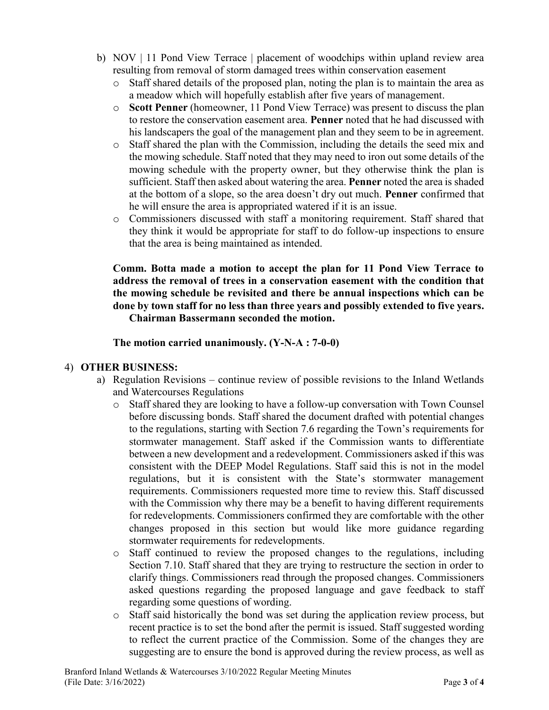- b) NOV | 11 Pond View Terrace | placement of woodchips within upland review area resulting from removal of storm damaged trees within conservation easement
	- o Staff shared details of the proposed plan, noting the plan is to maintain the area as a meadow which will hopefully establish after five years of management.
	- o **Scott Penner** (homeowner, 11 Pond View Terrace) was present to discuss the plan to restore the conservation easement area. **Penner** noted that he had discussed with his landscapers the goal of the management plan and they seem to be in agreement.
	- o Staff shared the plan with the Commission, including the details the seed mix and the mowing schedule. Staff noted that they may need to iron out some details of the mowing schedule with the property owner, but they otherwise think the plan is sufficient. Staff then asked about watering the area. **Penner** noted the area is shaded at the bottom of a slope, so the area doesn't dry out much. **Penner** confirmed that he will ensure the area is appropriated watered if it is an issue.
	- o Commissioners discussed with staff a monitoring requirement. Staff shared that they think it would be appropriate for staff to do follow-up inspections to ensure that the area is being maintained as intended.

**Comm. Botta made a motion to accept the plan for 11 Pond View Terrace to address the removal of trees in a conservation easement with the condition that the mowing schedule be revisited and there be annual inspections which can be done by town staff for no less than three years and possibly extended to five years. Chairman Bassermann seconded the motion.**

### **The motion carried unanimously. (Y-N-A : 7-0-0)**

### 4) **OTHER BUSINESS:**

- a) Regulation Revisions continue review of possible revisions to the Inland Wetlands and Watercourses Regulations
	- o Staff shared they are looking to have a follow-up conversation with Town Counsel before discussing bonds. Staff shared the document drafted with potential changes to the regulations, starting with Section 7.6 regarding the Town's requirements for stormwater management. Staff asked if the Commission wants to differentiate between a new development and a redevelopment. Commissioners asked if this was consistent with the DEEP Model Regulations. Staff said this is not in the model regulations, but it is consistent with the State's stormwater management requirements. Commissioners requested more time to review this. Staff discussed with the Commission why there may be a benefit to having different requirements for redevelopments. Commissioners confirmed they are comfortable with the other changes proposed in this section but would like more guidance regarding stormwater requirements for redevelopments.
	- o Staff continued to review the proposed changes to the regulations, including Section 7.10. Staff shared that they are trying to restructure the section in order to clarify things. Commissioners read through the proposed changes. Commissioners asked questions regarding the proposed language and gave feedback to staff regarding some questions of wording.
	- o Staff said historically the bond was set during the application review process, but recent practice is to set the bond after the permit is issued. Staff suggested wording to reflect the current practice of the Commission. Some of the changes they are suggesting are to ensure the bond is approved during the review process, as well as